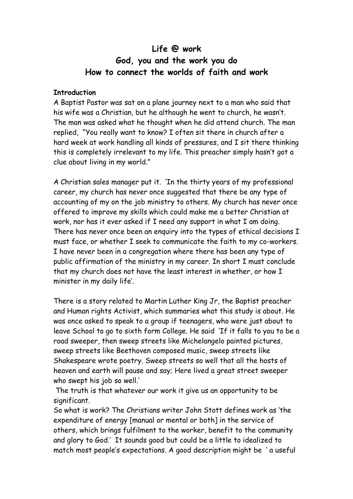# **Life @ work God, you and the work you do How to connect the worlds of faith and work**

#### **Introduction**

A Baptist Pastor was sat on a plane journey next to a man who said that his wife was a Christian, but he although he went to church, he wasn't. The man was asked what he thought when he did attend church. The man replied, "You really want to know? I often sit there in church after a hard week at work handling all kinds of pressures, and I sit there thinking this is completely irrelevant to my life. This preacher simply hasn't got a clue about living in my world."

A Christian sales manager put it. 'In the thirty years of my professional career, my church has never once suggested that there be any type of accounting of my on the job ministry to others. My church has never once offered to improve my skills which could make me a better Christian at work, nor has it ever asked if I need any support in what I am doing. There has never once been an enquiry into the types of ethical decisions I must face, or whether I seek to communicate the faith to my co-workers. I have never been in a congregation where there has been any type of public affirmation of the ministry in my career. In short I must conclude that my church does not have the least interest in whether, or how I minister in my daily life'.

There is a story related to Martin Luther King Jr, the Baptist preacher and Human rights Activist, which summaries what this study is about. He was once asked to speak to a group if teenagers, who were just about to leave School to go to sixth form College. He said 'If it falls to you to be a road sweeper, then sweep streets like Michelangelo painted pictures, sweep streets like Beethoven composed music, sweep streets like Shakespeare wrote poetry. Sweep streets so well that all the hosts of heaven and earth will pause and say; Here lived a great street sweeper who swept his job so well.'

 The truth is that whatever our work it give us an opportunity to be significant.

So what is work? The Christians writer John Stott defines work as 'the expenditure of energy [manual or mental or both] in the service of others, which brings fulfilment to the worker, benefit to the community and glory to God.' It sounds good but could be a little to idealized to match most people's expectations. A good description might be ' a useful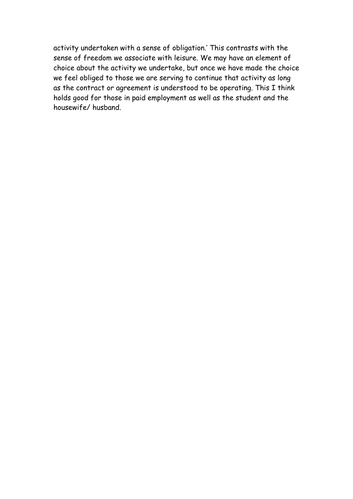activity undertaken with a sense of obligation.' This contrasts with the sense of freedom we associate with leisure. We may have an element of choice about the activity we undertake, but once we have made the choice we feel obliged to those we are serving to continue that activity as long as the contract or agreement is understood to be operating. This I think holds good for those in paid employment as well as the student and the housewife/ husband.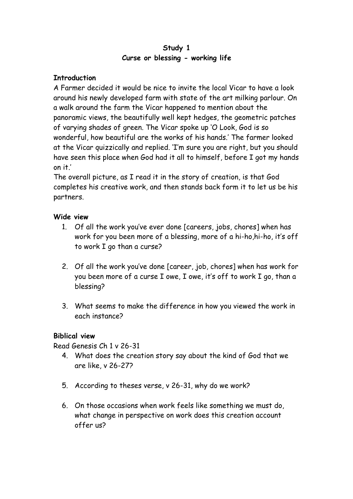## **Study 1 Curse or blessing - working life**

## **Introduction**

A Farmer decided it would be nice to invite the local Vicar to have a look around his newly developed farm with state of the art milking parlour. On a walk around the farm the Vicar happened to mention about the panoramic views, the beautifully well kept hedges, the geometric patches of varying shades of green. The Vicar spoke up 'O Look, God is so wonderful, how beautiful are the works of his hands.' The farmer looked at the Vicar quizzically and replied. 'I'm sure you are right, but you should have seen this place when God had it all to himself, before I got my hands on it.'

The overall picture, as I read it in the story of creation, is that God completes his creative work, and then stands back form it to let us be his partners.

# **Wide view**

- 1. Of all the work you've ever done [careers, jobs, chores] when has work for you been more of a blessing, more of a hi-ho,hi-ho, it's off to work I go than a curse?
- 2. Of all the work you've done [career, job, chores] when has work for you been more of a curse I owe, I owe, it's off to work I go, than a blessing?
- 3. What seems to make the difference in how you viewed the work in each instance?

## **Biblical view**

Read Genesis Ch 1 v 26-31

- 4. What does the creation story say about the kind of God that we are like, v 26-27?
- 5. According to theses verse, v 26-31, why do we work?
- 6. On those occasions when work feels like something we must do, what change in perspective on work does this creation account offer us?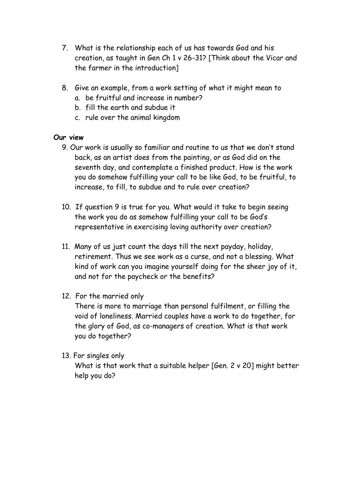- 7. What is the relationship each of us has towards God and his creation, as taught in Gen Ch 1 v 26-31? [Think about the Vicar and the farmer in the introduction]
- 8. Give an example, from a work setting of what it might mean to
	- a. be fruitful and increase in number?
	- b. fill the earth and subdue it
	- c. rule over the animal kingdom

### **Our view**

- 9. Our work is usually so familiar and routine to us that we don't stand back, as an artist does from the painting, or as God did on the seventh day, and contemplate a finished product. How is the work you do somehow fulfilling your call to be like God, to be fruitful, to increase, to fill, to subdue and to rule over creation?
- 10. If question 9 is true for you. What would it take to begin seeing the work you do as somehow fulfilling your call to be God's representative in exercising loving authority over creation?
- 11. Many of us just count the days till the next payday, holiday, retirement. Thus we see work as a curse, and not a blessing. What kind of work can you imagine yourself doing for the sheer joy of it, and not for the paycheck or the benefits?
- 12. For the married only

There is more to marriage than personal fulfilment, or filling the void of loneliness. Married couples have a work to do together, for the glory of God, as co-managers of creation. What is that work you do together?

13. For singles only

What is that work that a suitable helper [Gen. 2 v 20] might better help you do?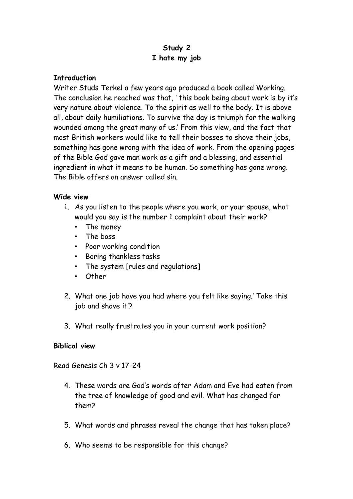# **Study 2 I hate my job**

#### **Introduction**

Writer Studs Terkel a few years ago produced a book called Working. The conclusion he reached was that, ' this book being about work is by it's very nature about violence. To the spirit as well to the body. It is above all, about daily humiliations. To survive the day is triumph for the walking wounded among the great many of us.' From this view, and the fact that most British workers would like to tell their bosses to shove their jobs, something has gone wrong with the idea of work. From the opening pages of the Bible God gave man work as a gift and a blessing, and essential ingredient in what it means to be human. So something has gone wrong. The Bible offers an answer called sin.

### **Wide view**

- 1. As you listen to the people where you work, or your spouse, what would you say is the number 1 complaint about their work?
	- The money
	- The boss
	- Poor working condition
	- Boring thankless tasks
	- The system [rules and regulations]
	- Other
- 2. What one job have you had where you felt like saying.' Take this job and shove it'?
- 3. What really frustrates you in your current work position?

#### **Biblical view**

Read Genesis Ch 3 v 17-24

- 4. These words are God's words after Adam and Eve had eaten from the tree of knowledge of good and evil. What has changed for them?
- 5. What words and phrases reveal the change that has taken place?
- 6. Who seems to be responsible for this change?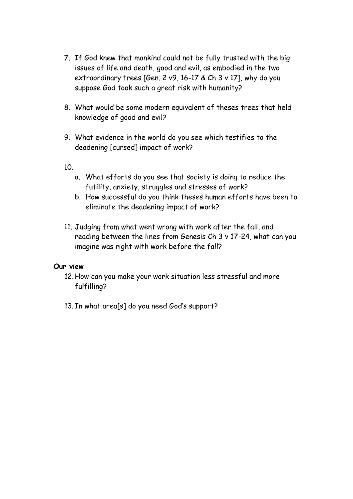- 7. If God knew that mankind could not be fully trusted with the big issues of life and death, good and evil, as embodied in the two extraordinary trees [Gen. 2 v9, 16-17 & Ch 3 v 17], why do you suppose God took such a great risk with humanity?
- 8. What would be some modern equivalent of theses trees that held knowledge of good and evil?
- 9. What evidence in the world do you see which testifies to the deadening [cursed] impact of work?

10.

- a. What efforts do you see that society is doing to reduce the futility, anxiety, struggles and stresses of work?
- b. How successful do you think theses human efforts have been to eliminate the deadening impact of work?
- 11. Judging from what went wrong with work after the fall, and reading between the lines from Genesis Ch 3 v 17-24, what can you imagine was right with work before the fall?

- 12. How can you make your work situation less stressful and more fulfilling?
- 13. In what area[s] do you need God's support?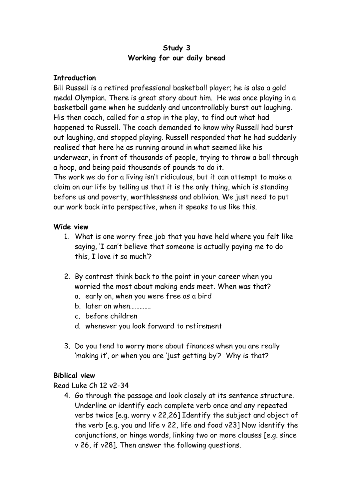## **Study 3 Working for our daily bread**

### **Introduction**

Bill Russell is a retired professional basketball player; he is also a gold medal Olympian. There is great story about him. He was once playing in a basketball game when he suddenly and uncontrollably burst out laughing. His then coach, called for a stop in the play, to find out what had happened to Russell. The coach demanded to know why Russell had burst out laughing, and stopped playing. Russell responded that he had suddenly realised that here he as running around in what seemed like his underwear, in front of thousands of people, trying to throw a ball through a hoop, and being paid thousands of pounds to do it.

The work we do for a living isn't ridiculous, but it can attempt to make a claim on our life by telling us that it is the only thing, which is standing before us and poverty, worthlessness and oblivion. We just need to put our work back into perspective, when it speaks to us like this.

#### **Wide view**

- 1. What is one worry free job that you have held where you felt like saying, 'I can't believe that someone is actually paying me to do this, I love it so much'?
- 2. By contrast think back to the point in your career when you worried the most about making ends meet. When was that?
	- a. early on, when you were free as a bird
	- b. later on when………….
	- c. before children
	- d. whenever you look forward to retirement
- 3. Do you tend to worry more about finances when you are really 'making it', or when you are 'just getting by'? Why is that?

## **Biblical view**

Read Luke Ch 12 v2-34

4. Go through the passage and look closely at its sentence structure. Underline or identify each complete verb once and any repeated verbs twice [e.g. worry v 22,26] Identify the subject and object of the verb [e.g. you and life v 22, life and food v23] Now identify the conjunctions, or hinge words, linking two or more clauses [e.g. since v 26, if v28]. Then answer the following questions.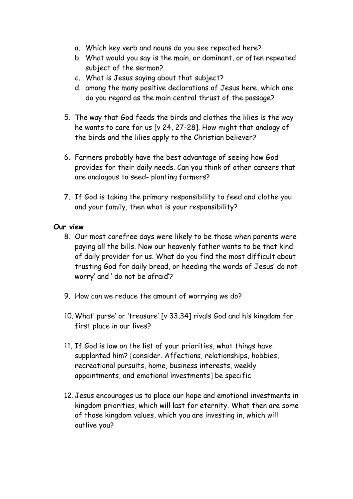- a. Which key verb and nouns do you see repeated here?
- b. What would you say is the main, or dominant, or often repeated subject of the sermon?
- c. What is Jesus saying about that subject?
- d. among the many positive declarations of Jesus here, which one do you regard as the main central thrust of the passage?
- 5. The way that God feeds the birds and clothes the lilies is the way he wants to care for us [v 24, 27-28]. How might that analogy of the birds and the lilies apply to the Christian believer?
- 6. Farmers probably have the best advantage of seeing how God provides for their daily needs. Can you think of other careers that are analogous to seed- planting farmers?
- 7. If God is taking the primary responsibility to feed and clothe you and your family, then what is your responsibility?

- 8. Our most carefree days were likely to be those when parents were paying all the bills. Now our heavenly father wants to be that kind of daily provider for us. What do you find the most difficult about trusting God for daily bread, or heeding the words of Jesus' do not worry' and ' do not be afraid'?
- 9. How can we reduce the amount of worrying we do?
- 10. What' purse' or 'treasure' [v 33,34] rivals God and his kingdom for first place in our lives?
- 11. If God is low on the list of your priorities, what things have supplanted him? [consider. Affections, relationships, hobbies, recreational pursuits, home, business interests, weekly appointments, and emotional investments] be specific
- 12. Jesus encourages us to place our hope and emotional investments in kingdom priorities, which will last for eternity. What then are some of those kingdom values, which you are investing in, which will outlive you?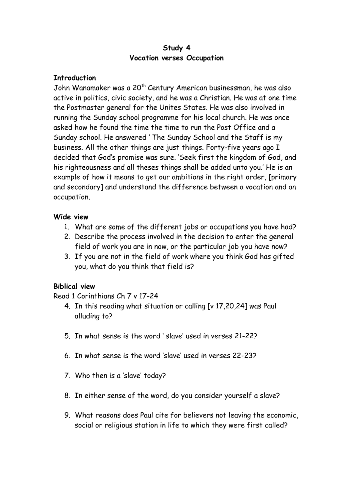#### **Study 4 Vocation verses Occupation**

### **Introduction**

John Wanamaker was a 20th Century American businessman, he was also active in politics, civic society, and he was a Christian. He was at one time the Postmaster general for the Unites States. He was also involved in running the Sunday school programme for his local church. He was once asked how he found the time the time to run the Post Office and a Sunday school. He answered ' The Sunday School and the Staff is my business. All the other things are just things. Forty-five years ago I decided that God's promise was sure. 'Seek first the kingdom of God, and his righteousness and all theses things shall be added unto you.' He is an example of how it means to get our ambitions in the right order, [primary and secondary] and understand the difference between a vocation and an occupation.

### **Wide view**

- 1. What are some of the different jobs or occupations you have had?
- 2. Describe the process involved in the decision to enter the general field of work you are in now, or the particular job you have now?
- 3. If you are not in the field of work where you think God has gifted you, what do you think that field is?

## **Biblical view**

Read 1 Corinthians Ch 7 v 17-24

- 4. In this reading what situation or calling [v 17,20,24] was Paul alluding to?
- 5. In what sense is the word ' slave' used in verses 21-22?
- 6. In what sense is the word 'slave' used in verses 22-23?
- 7. Who then is a 'slave' today?
- 8. In either sense of the word, do you consider yourself a slave?
- 9. What reasons does Paul cite for believers not leaving the economic, social or religious station in life to which they were first called?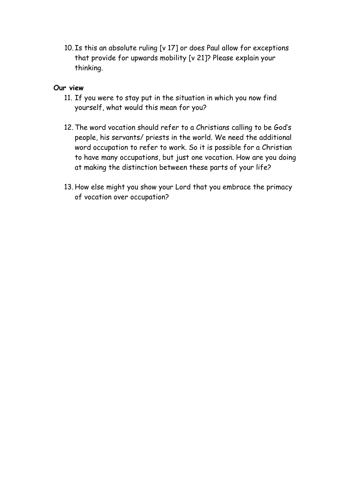10. Is this an absolute ruling [v 17] or does Paul allow for exceptions that provide for upwards mobility [v 21]? Please explain your thinking.

- 11. If you were to stay put in the situation in which you now find yourself, what would this mean for you?
- 12. The word vocation should refer to a Christians calling to be God's people, his servants/ priests in the world. We need the additional word occupation to refer to work. So it is possible for a Christian to have many occupations, but just one vocation. How are you doing at making the distinction between these parts of your life?
- 13. How else might you show your Lord that you embrace the primacy of vocation over occupation?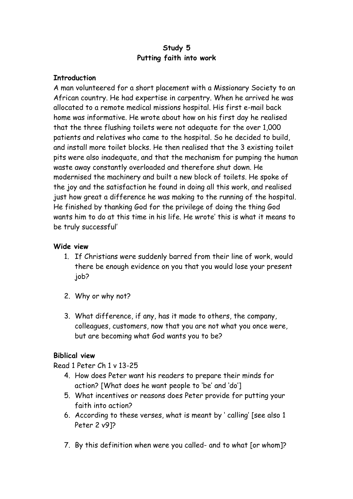## **Study 5 Putting faith into work**

#### **Introduction**

A man volunteered for a short placement with a Missionary Society to an African country. He had expertise in carpentry. When he arrived he was allocated to a remote medical missions hospital. His first e-mail back home was informative. He wrote about how on his first day he realised that the three flushing toilets were not adequate for the over 1,000 patients and relatives who came to the hospital. So he decided to build, and install more toilet blocks. He then realised that the 3 existing toilet pits were also inadequate, and that the mechanism for pumping the human waste away constantly overloaded and therefore shut down. He modernised the machinery and built a new block of toilets. He spoke of the joy and the satisfaction he found in doing all this work, and realised just how great a difference he was making to the running of the hospital. He finished by thanking God for the privilege of doing the thing God wants him to do at this time in his life. He wrote' this is what it means to be truly successful'

### **Wide view**

- 1. If Christians were suddenly barred from their line of work, would there be enough evidence on you that you would lose your present job?
- 2. Why or why not?
- 3. What difference, if any, has it made to others, the company, colleagues, customers, now that you are not what you once were, but are becoming what God wants you to be?

#### **Biblical view**

Read 1 Peter Ch 1 v 13-25

- 4. How does Peter want his readers to prepare their minds for action? [What does he want people to 'be' and 'do']
- 5. What incentives or reasons does Peter provide for putting your faith into action?
- 6. According to these verses, what is meant by ' calling' [see also 1 Peter 2 v9]?
- 7. By this definition when were you called- and to what [or whom]?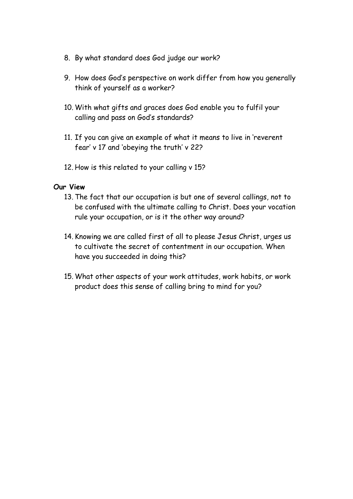- 8. By what standard does God judge our work?
- 9. How does God's perspective on work differ from how you generally think of yourself as a worker?
- 10. With what gifts and graces does God enable you to fulfil your calling and pass on God's standards?
- 11. If you can give an example of what it means to live in 'reverent fear' v 17 and 'obeying the truth' v 22?
- 12. How is this related to your calling v 15?

#### **Our View**

- 13. The fact that our occupation is but one of several callings, not to be confused with the ultimate calling to Christ. Does your vocation rule your occupation, or is it the other way around?
- 14. Knowing we are called first of all to please Jesus Christ, urges us to cultivate the secret of contentment in our occupation. When have you succeeded in doing this?
- 15. What other aspects of your work attitudes, work habits, or work product does this sense of calling bring to mind for you?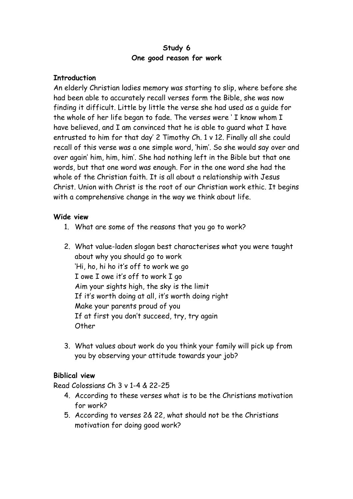#### **Study 6 One good reason for work**

### **Introduction**

An elderly Christian ladies memory was starting to slip, where before she had been able to accurately recall verses form the Bible, she was now finding it difficult. Little by little the verse she had used as a guide for the whole of her life began to fade. The verses were ' I know whom I have believed, and I am convinced that he is able to guard what I have entrusted to him for that day' 2 Timothy Ch. 1 v 12. Finally all she could recall of this verse was a one simple word, 'him'. So she would say over and over again' him, him, him'. She had nothing left in the Bible but that one words, but that one word was enough. For in the one word she had the whole of the Christian faith. It is all about a relationship with Jesus Christ. Union with Christ is the root of our Christian work ethic. It begins with a comprehensive change in the way we think about life.

### **Wide view**

- 1. What are some of the reasons that you go to work?
- 2. What value-laden slogan best characterises what you were taught about why you should go to work 'Hi, ho, hi ho it's off to work we go I owe I owe it's off to work I go Aim your sights high, the sky is the limit If it's worth doing at all, it's worth doing right Make your parents proud of you If at first you don't succeed, try, try again **Other**
- 3. What values about work do you think your family will pick up from you by observing your attitude towards your job?

## **Biblical view**

Read Colossians Ch 3 v 1-4 & 22-25

- 4. According to these verses what is to be the Christians motivation for work?
- 5. According to verses 2& 22, what should not be the Christians motivation for doing good work?